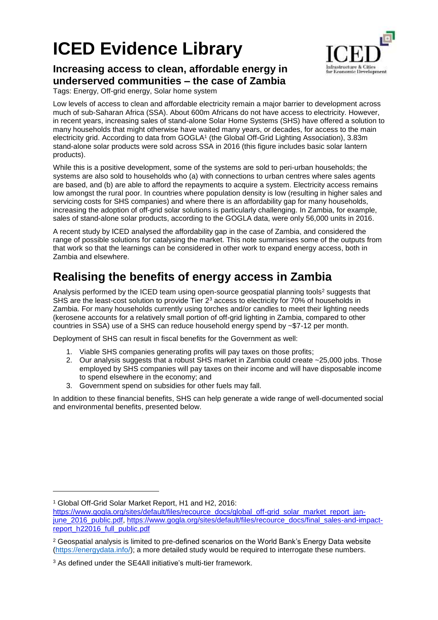# **ICED Evidence Library**



### **Increasing access to clean, affordable energy in underserved communities – the case of Zambia**

Tags: Energy, Off-grid energy, Solar home system

Low levels of access to clean and affordable electricity remain a major barrier to development across much of sub-Saharan Africa (SSA). About 600m Africans do not have access to electricity. However, in recent years, increasing sales of stand-alone Solar Home Systems (SHS) have offered a solution to many households that might otherwise have waited many years, or decades, for access to the main electricity grid. According to data from GOGLA<sup>1</sup> (the Global Off-Grid Lighting Association), 3.83m stand-alone solar products were sold across SSA in 2016 (this figure includes basic solar lantern products).

While this is a positive development, some of the systems are sold to peri-urban households; the systems are also sold to households who (a) with connections to urban centres where sales agents are based, and (b) are able to afford the repayments to acquire a system. Electricity access remains low amongst the rural poor. In countries where population density is low (resulting in higher sales and servicing costs for SHS companies) and where there is an affordability gap for many households, increasing the adoption of off-grid solar solutions is particularly challenging. In Zambia, for example, sales of stand-alone solar products, according to the GOGLA data, were only 56,000 units in 2016.

A recent study by ICED analysed the affordability gap in the case of Zambia, and considered the range of possible solutions for catalysing the market. This note summarises some of the outputs from that work so that the learnings can be considered in other work to expand energy access, both in Zambia and elsewhere.

## **Realising the benefits of energy access in Zambia**

Analysis performed by the ICED team using open-source geospatial planning tools<sup>2</sup> suggests that SHS are the least-cost solution to provide Tier  $2<sup>3</sup>$  access to electricity for 70% of households in Zambia. For many households currently using torches and/or candles to meet their lighting needs (kerosene accounts for a relatively small portion of off-grid lighting in Zambia, compared to other countries in SSA) use of a SHS can reduce household energy spend by ~\$7-12 per month.

Deployment of SHS can result in fiscal benefits for the Government as well:

- 1. Viable SHS companies generating profits will pay taxes on those profits;
- 2. Our analysis suggests that a robust SHS market in Zambia could create ~25,000 jobs. Those employed by SHS companies will pay taxes on their income and will have disposable income to spend elsewhere in the economy; and
- 3. Government spend on subsidies for other fuels may fall.

In addition to these financial benefits, SHS can help generate a wide range of well-documented social and environmental benefits, presented below.

l

<sup>1</sup> Global Off-Grid Solar Market Report, H1 and H2, 2016:

[https://www.gogla.org/sites/default/files/recource\\_docs/global\\_off-grid\\_solar\\_market\\_report\\_jan](https://www.gogla.org/sites/default/files/recource_docs/final_sales-and-impact-report_h22016_full_public.pdf)[june\\_2016\\_public.pdf, https://www.gogla.org/sites/default/files/recource\\_docs/final\\_sales-and-impact](https://www.gogla.org/sites/default/files/recource_docs/final_sales-and-impact-report_h22016_full_public.pdf)[report\\_h22016\\_full\\_public.pdf](https://www.gogla.org/sites/default/files/recource_docs/final_sales-and-impact-report_h22016_full_public.pdf)

<sup>&</sup>lt;sup>2</sup> Geospatial analysis is limited to pre-defined scenarios on the World Bank's Energy Data website [\(https://energydata.info/\)](https://energydata.info/); a more detailed study would be required to interrogate these numbers.

<sup>3</sup> As defined under the SE4All initiative's multi-tier framework.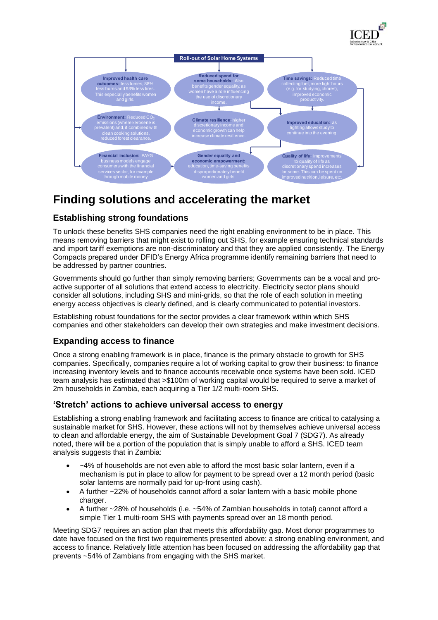



## **Finding solutions and accelerating the market**

#### **Establishing strong foundations**

To unlock these benefits SHS companies need the right enabling environment to be in place. This means removing barriers that might exist to rolling out SHS, for example ensuring technical standards and import tariff exemptions are non-discriminatory and that they are applied consistently. The Energy Compacts prepared under DFID's Energy Africa programme identify remaining barriers that need to be addressed by partner countries.

Governments should go further than simply removing barriers; Governments can be a vocal and proactive supporter of all solutions that extend access to electricity. Electricity sector plans should consider all solutions, including SHS and mini-grids, so that the role of each solution in meeting energy access objectives is clearly defined, and is clearly communicated to potential investors.

Establishing robust foundations for the sector provides a clear framework within which SHS companies and other stakeholders can develop their own strategies and make investment decisions.

#### **Expanding access to finance**

Once a strong enabling framework is in place, finance is the primary obstacle to growth for SHS companies. Specifically, companies require a lot of working capital to grow their business: to finance increasing inventory levels and to finance accounts receivable once systems have been sold. ICED team analysis has estimated that >\$100m of working capital would be required to serve a market of 2m households in Zambia, each acquiring a Tier 1/2 multi-room SHS.

#### **'Stretch' actions to achieve universal access to energy**

Establishing a strong enabling framework and facilitating access to finance are critical to catalysing a sustainable market for SHS. However, these actions will not by themselves achieve universal access to clean and affordable energy, the aim of Sustainable Development Goal 7 (SDG7). As already noted, there will be a portion of the population that is simply unable to afford a SHS. ICED team analysis suggests that in Zambia:

- ~4% of households are not even able to afford the most basic solar lantern, even if a mechanism is put in place to allow for payment to be spread over a 12 month period (basic solar lanterns are normally paid for up-front using cash).
- A further ~22% of households cannot afford a solar lantern with a basic mobile phone charger.
- A further ~28% of households (i.e. ~54% of Zambian households in total) cannot afford a simple Tier 1 multi-room SHS with payments spread over an 18 month period.

Meeting SDG7 requires an action plan that meets this affordability gap. Most donor programmes to date have focused on the first two requirements presented above: a strong enabling environment, and access to finance. Relatively little attention has been focused on addressing the affordability gap that prevents ~54% of Zambians from engaging with the SHS market.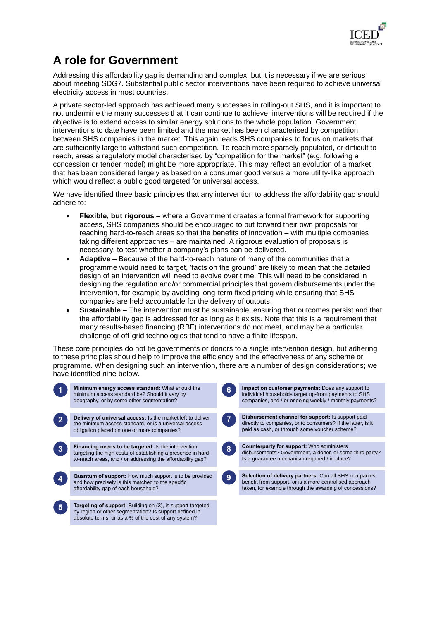

## **A role for Government**

Addressing this affordability gap is demanding and complex, but it is necessary if we are serious about meeting SDG7. Substantial public sector interventions have been required to achieve universal electricity access in most countries.

A private sector-led approach has achieved many successes in rolling-out SHS, and it is important to not undermine the many successes that it can continue to achieve, interventions will be required if the objective is to extend access to similar energy solutions to the whole population. Government interventions to date have been limited and the market has been characterised by competition between SHS companies in the market. This again leads SHS companies to focus on markets that are sufficiently large to withstand such competition. To reach more sparsely populated, or difficult to reach, areas a regulatory model characterised by "competition for the market" (e.g. following a concession or tender model) might be more appropriate. This may reflect an evolution of a market that has been considered largely as based on a consumer good versus a more utility-like approach which would reflect a public good targeted for universal access.

We have identified three basic principles that any intervention to address the affordability gap should adhere to:

- **Flexible, but rigorous** where a Government creates a formal framework for supporting access, SHS companies should be encouraged to put forward their own proposals for reaching hard-to-reach areas so that the benefits of innovation – with multiple companies taking different approaches – are maintained. A rigorous evaluation of proposals is necessary, to test whether a company's plans can be delivered.
- **Adaptive** Because of the hard-to-reach nature of many of the communities that a programme would need to target, 'facts on the ground' are likely to mean that the detailed design of an intervention will need to evolve over time. This will need to be considered in designing the regulation and/or commercial principles that govern disbursements under the intervention, for example by avoiding long-term fixed pricing while ensuring that SHS companies are held accountable for the delivery of outputs.
- **Sustainable** The intervention must be sustainable, ensuring that outcomes persist and that the affordability gap is addressed for as long as it exists. Note that this is a requirement that many results-based financing (RBF) interventions do not meet, and may be a particular challenge of off-grid technologies that tend to have a finite lifespan.

These core principles do not tie governments or donors to a single intervention design, but adhering to these principles should help to improve the efficiency and the effectiveness of any scheme or programme. When designing such an intervention, there are a number of design considerations; we have identified nine below.